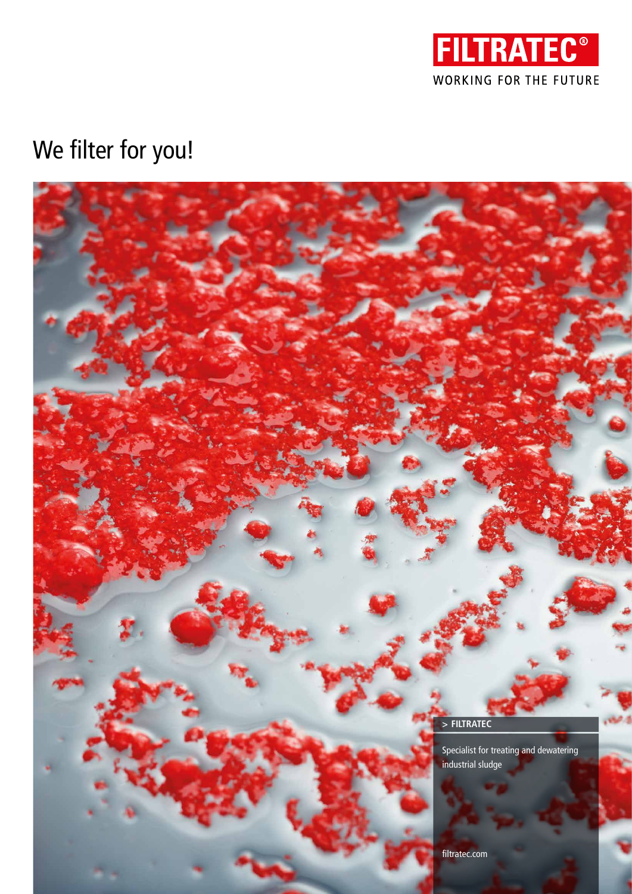

# We filter for you!

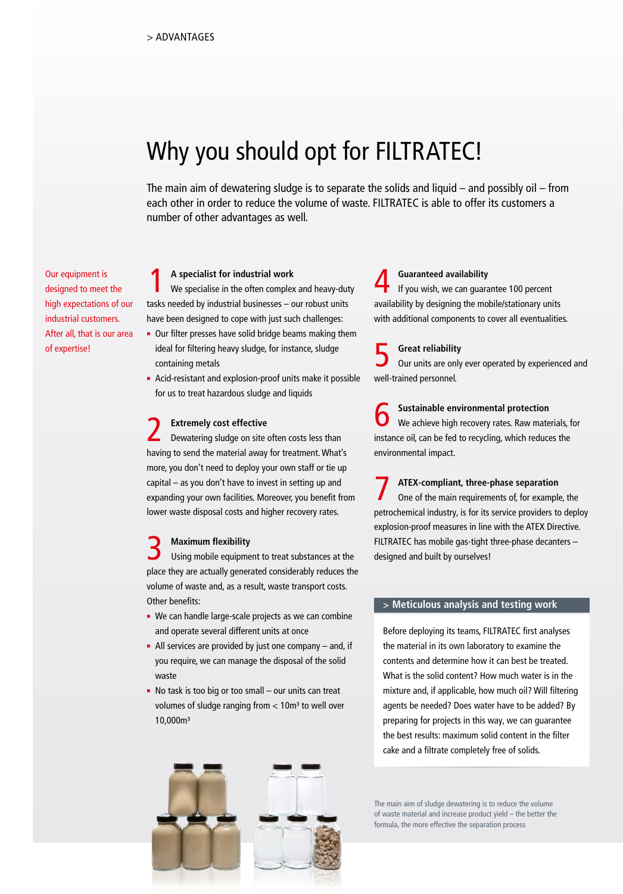# Why you should opt for FILTRATEC!

The main aim of dewatering sludge is to separate the solids and liquid – and possibly oil – from each other in order to reduce the volume of waste. FILTRATEC is able to offer its customers a number of other advantages as well.

Our equipment is designed to meet the high expectations of our industrial customers. After all, that is our area of expertise!

1 A specialist for industrial work<br>We specialise in the often complex and heavy-duty tasks needed by industrial businesses – our robust units have been designed to cope with just such challenges:

- **Our filter presses have solid bridge beams making them** ideal for filtering heavy sludge, for instance, sludge containing metals
- Acid-resistant and explosion-proof units make it possible for us to treat hazardous sludge and liquids

#### **Extremely cost effective**

2 Dewatering sludge on site often costs less than having to send the material away for treatment. What's more, you don't need to deploy your own staff or tie up capital – as you don't have to invest in setting up and expanding your own facilities. Moreover, you benefit from lower waste disposal costs and higher recovery rates.

#### **Maximum flexibility**

3 Using mobile equipment to treat substances at the place they are actually generated considerably reduces the volume of waste and, as a result, waste transport costs. Other benefits:

- We can handle large-scale projects as we can combine and operate several different units at once
- All services are provided by just one company  $-$  and, if you require, we can manage the disposal of the solid waste
- No task is too big or too small our units can treat volumes of sludge ranging from  $< 10m<sup>3</sup>$  to well over 10,000m³



#### **Guaranteed availability**

If you wish, we can guarantee 100 percent availability by designing the mobile/stationary units with additional components to cover all eventualities.

#### **Great reliability**

<u>г</u>

Our units are only ever operated by experienced and well-trained personnel.

### **Sustainable environmental protection**

6 We achieve high recovery rates. Raw materials, for instance oil, can be fed to recycling, which reduces the environmental impact.

7 **ATEX-compliant, three-phase separation** One of the main requirements of, for example, the petrochemical industry, is for its service providers to deploy explosion-proof measures in line with the ATEX Directive. FILTRATEC has mobile gas-tight three-phase decanters – designed and built by ourselves!

#### **> Meticulous analysis and testing work**

Before deploying its teams, FILTRATEC first analyses the material in its own laboratory to examine the contents and determine how it can best be treated. What is the solid content? How much water is in the mixture and, if applicable, how much oil? Will filtering agents be needed? Does water have to be added? By preparing for projects in this way, we can guarantee the best results: maximum solid content in the filter cake and a filtrate completely free of solids.

The main aim of sludge dewatering is to reduce the volume of waste material and increase product yield – the better the formula, the more effective the separation process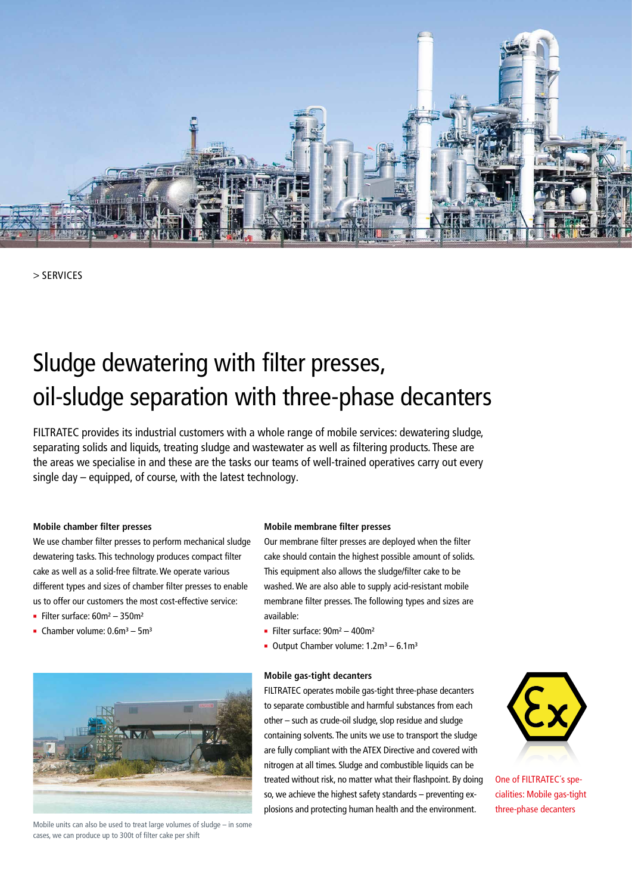

> SERVICES

# Sludge dewatering with filter presses, oil-sludge separation with three-phase decanters

FILTRATEC provides its industrial customers with a whole range of mobile services: dewatering sludge, separating solids and liquids, treating sludge and wastewater as well as filtering products. These are the areas we specialise in and these are the tasks our teams of well-trained operatives carry out every single day – equipped, of course, with the latest technology.

#### **Mobile chamber filter presses**

We use chamber filter presses to perform mechanical sludge dewatering tasks. This technology produces compact filter cake as well as a solid-free filtrate. We operate various different types and sizes of chamber filter presses to enable us to offer our customers the most cost-effective service:

- Filter surface:  $60m^2 350m^2$
- Chamber volume:  $0.6m^3 5m^3$



Mobile units can also be used to treat large volumes of sludge – in some cases, we can produce up to 300t of filter cake per shift

#### **Mobile membrane filter presses**

Our membrane filter presses are deployed when the filter cake should contain the highest possible amount of solids. This equipment also allows the sludge/filter cake to be washed. We are also able to supply acid-resistant mobile membrane filter presses. The following types and sizes are available:

- Filter surface:  $90m^2 400m^2$
- Output Chamber volume:  $1.2m^3 6.1m^3$

#### **Mobile gas-tight decanters**

FILTRATEC operates mobile gas-tight three-phase decanters to separate combustible and harmful substances from each other – such as crude-oil sludge, slop residue and sludge containing solvents. The units we use to transport the sludge are fully compliant with the ATEX Directive and covered with nitrogen at all times. Sludge and combustible liquids can be treated without risk, no matter what their flashpoint. By doing so, we achieve the highest safety standards – preventing explosions and protecting human health and the environment.



One of FILTRATEC´s specialities: Mobile gas-tight three-phase decanters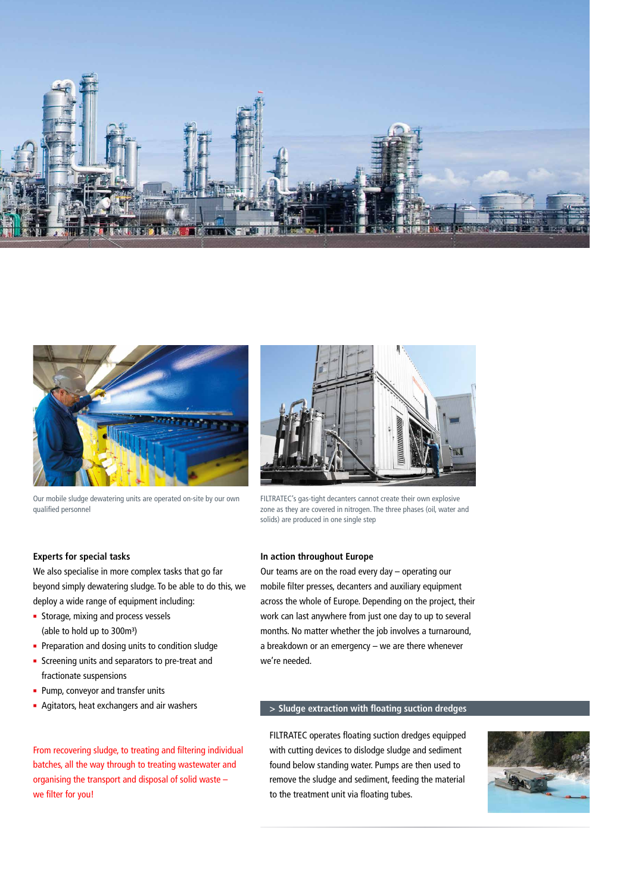



Our mobile sludge dewatering units are operated on-site by our own qualified personnel



FILTRATEC's gas-tight decanters cannot create their own explosive zone as they are covered in nitrogen. The three phases (oil, water and solids) are produced in one single step

#### **Experts for special tasks**

We also specialise in more complex tasks that go far beyond simply dewatering sludge. To be able to do this, we deploy a wide range of equipment including:

- **Storage, mixing and process vessels** (able to hold up to 300m<sup>3</sup>)
- **Preparation and dosing units to condition sludge** Screening units and separators to pre-treat and
- fractionate suspensions
- **Pump, conveyor and transfer units**
- **Agitators, heat exchangers and air washers**

From recovering sludge, to treating and filtering individual

batches, all the way through to treating wastewater and organising the transport and disposal of solid waste – we filter for you!

#### **In action throughout Europe**

Our teams are on the road every day – operating our mobile filter presses, decanters and auxiliary equipment across the whole of Europe. Depending on the project, their work can last anywhere from just one day to up to several months. No matter whether the job involves a turnaround, a breakdown or an emergency – we are there whenever we're needed.

### **> Sludge extraction with floating suction dredges**

FILTRATEC operates floating suction dredges equipped with cutting devices to dislodge sludge and sediment found below standing water. Pumps are then used to remove the sludge and sediment, feeding the material to the treatment unit via floating tubes.

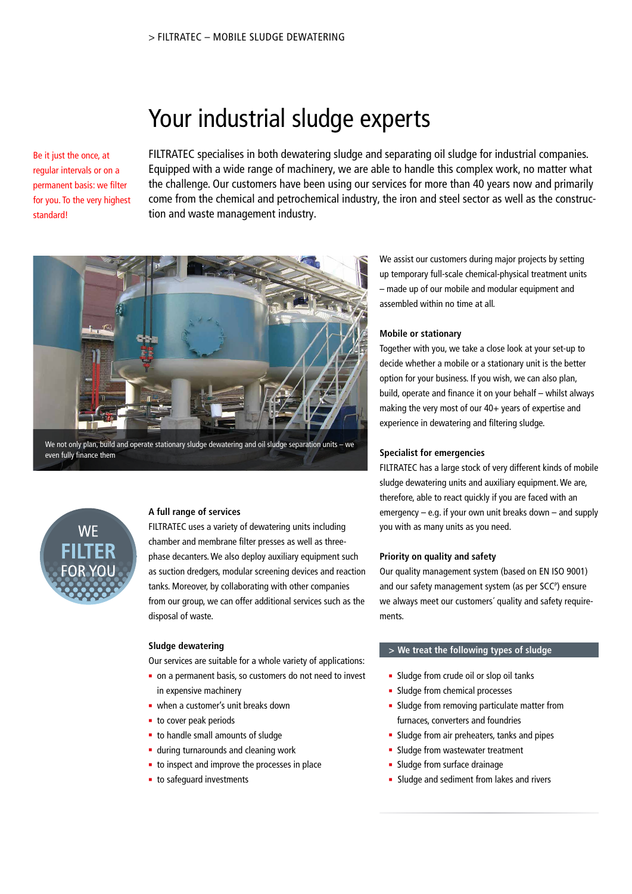### Your industrial sludge experts

Be it just the once, at regular intervals or on a permanent basis: we filter for you. To the very highest standard!

FILTRATEC specialises in both dewatering sludge and separating oil sludge for industrial companies. Equipped with a wide range of machinery, we are able to handle this complex work, no matter what the challenge. Our customers have been using our services for more than 40 years now and primarily come from the chemical and petrochemical industry, the iron and steel sector as well as the construction and waste management industry.



even fully finance them



#### **A full range of services**

FILTRATEC uses a variety of dewatering units including chamber and membrane filter presses as well as threephase decanters. We also deploy auxiliary equipment such as suction dredgers, modular screening devices and reaction tanks. Moreover, by collaborating with other companies from our group, we can offer additional services such as the disposal of waste.

#### **Sludge dewatering**

Our services are suitable for a whole variety of applications:

- on a permanent basis, so customers do not need to invest in expensive machinery
- when a customer's unit breaks down
- to cover peak periods
- to handle small amounts of sludge
- during turnarounds and cleaning work
- to inspect and improve the processes in place
- **to safeguard investments**

We assist our customers during major projects by setting up temporary full-scale chemical-physical treatment units – made up of our mobile and modular equipment and assembled within no time at all.

#### **Mobile or stationary**

Together with you, we take a close look at your set-up to decide whether a mobile or a stationary unit is the better option for your business. If you wish, we can also plan, build, operate and finance it on your behalf – whilst always making the very most of our 40+ years of expertise and experience in dewatering and filtering sludge.

#### **Specialist for emergencies**

FILTRATEC has a large stock of very different kinds of mobile sludge dewatering units and auxiliary equipment. We are, therefore, able to react quickly if you are faced with an emergency – e.g. if your own unit breaks down – and supply you with as many units as you need.

#### **Priority on quality and safety**

Our quality management system (based on EN ISO 9001) and our safety management system (as per SCC<sup>P</sup>) ensure we always meet our customers´ quality and safety requirements.

#### **> We treat the following types of sludge**

- **Sludge from crude oil or slop oil tanks**
- **Sludge from chemical processes**
- **Sludge from removing particulate matter from** furnaces, converters and foundries
- **Sludge from air preheaters, tanks and pipes**
- **Sludge from wastewater treatment**
- **Sludge from surface drainage**
- **Sludge and sediment from lakes and rivers**